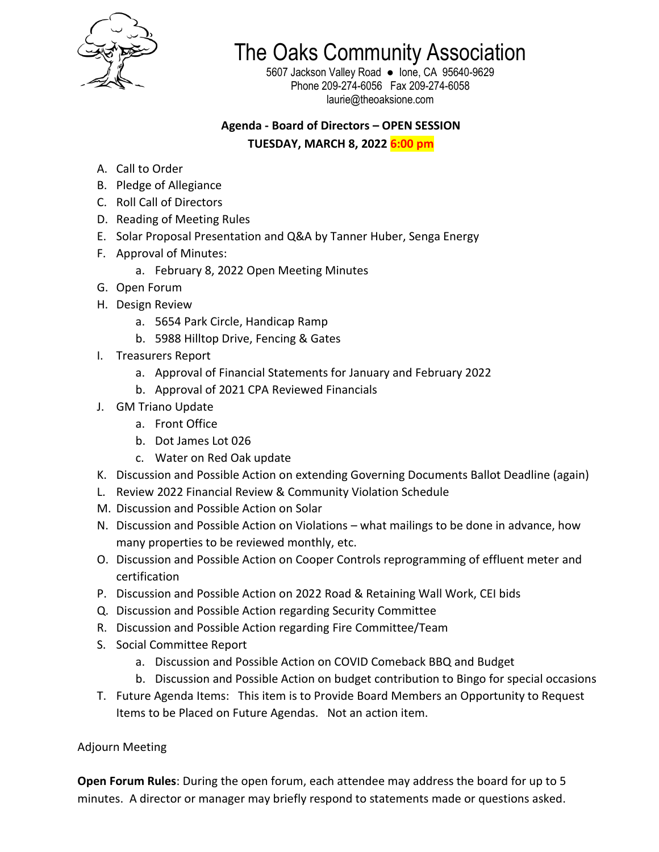

The Oaks Community Association

5607 Jackson Valley Road ● Ione, CA 95640-9629 Phone 209-274-6056 Fax 209-274-6058 laurie@theoaksione.com

## **Agenda - Board of Directors – OPEN SESSION**

**TUESDAY, MARCH 8, 2022 6:00 pm**

- A. Call to Order
- B. Pledge of Allegiance
- C. Roll Call of Directors
- D. Reading of Meeting Rules
- E. Solar Proposal Presentation and Q&A by Tanner Huber, Senga Energy
- F. Approval of Minutes:
	- a. February 8, 2022 Open Meeting Minutes
- G. Open Forum
- H. Design Review
	- a. 5654 Park Circle, Handicap Ramp
	- b. 5988 Hilltop Drive, Fencing & Gates
- I. Treasurers Report
	- a. Approval of Financial Statements for January and February 2022
	- b. Approval of 2021 CPA Reviewed Financials
- J. GM Triano Update
	- a. Front Office
	- b. Dot James Lot 026
	- c. Water on Red Oak update
- K. Discussion and Possible Action on extending Governing Documents Ballot Deadline (again)
- L. Review 2022 Financial Review & Community Violation Schedule
- M. Discussion and Possible Action on Solar
- N. Discussion and Possible Action on Violations what mailings to be done in advance, how many properties to be reviewed monthly, etc.
- O. Discussion and Possible Action on Cooper Controls reprogramming of effluent meter and certification
- P. Discussion and Possible Action on 2022 Road & Retaining Wall Work, CEI bids
- Q. Discussion and Possible Action regarding Security Committee
- R. Discussion and Possible Action regarding Fire Committee/Team
- S. Social Committee Report
	- a. Discussion and Possible Action on COVID Comeback BBQ and Budget
	- b. Discussion and Possible Action on budget contribution to Bingo for special occasions
- T. Future Agenda Items: This item is to Provide Board Members an Opportunity to Request Items to be Placed on Future Agendas. Not an action item.

Adjourn Meeting

**Open Forum Rules**: During the open forum, each attendee may address the board for up to 5 minutes. A director or manager may briefly respond to statements made or questions asked.